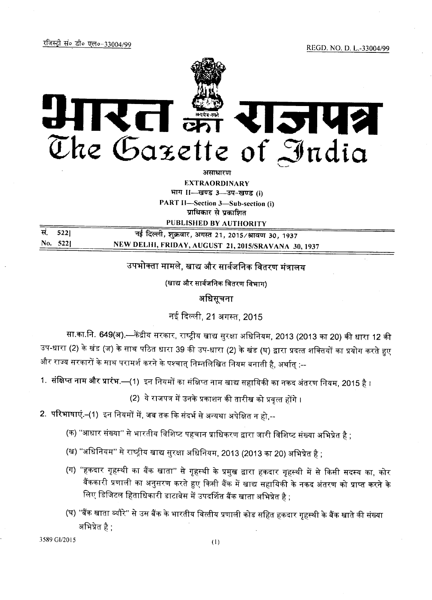

**EXTRAORDINARY** भाग । - खण्ड 3-3प-खण्ड (i) PART II-Section 3-Sub-section (i)

प्राधिकार से प्रकाशित PUBLISHED BY AUTHORITY

| स. 5221  | नई दिल्ली, शुक्रवार, अगस्त 21, 2015/श्रावण 30, 1937 |
|----------|-----------------------------------------------------|
| No. 5221 | NEW DELHI, FRIDAY, AUGUST 21, 2015/SRAVANA 30, 1937 |

उपभोक्ता मामले, खाद्य और सार्वजनिक वितरण मंत्रालय

(खाद्य और सार्वजनिक वितरण विभाग)

अधिसूचना

नई दिल्ली, 21 अगस्त, 2015

सा.का.नि. 649(अ).—केंद्रीय सरकार, राष्ट्रीय खाद्य सुरक्षा अधिनियम, 2013 (2013 का 20) की धारा 12 की उप-धारा (2) के खंड (ज) के साथ पठित धारा 39 की उप-धारा (2) के खंड (घ) द्वारा प्रदत्त शक्तियों का प्रयोग करते हुए और राज्य सरकारों के साथ परामर्श करने के पश्चात् निम्नलिखित नियम बनाती है, अर्थात् :--

1. संक्षिप्त नाम और प्रारंभ.—(1) इन नियमों का संक्षिप्त नाम खाद्य सहायिकी का नकद अंतरण नियम, 2015 है ।

(2) ये राजपत्र में उनके प्रकाशन की तारीख को प्रवृत्त होंगे ।

- 2. परिभाषाएं.–(1) इन नियमों में, जब तक कि संदर्भ से अन्यथा अपेक्षित न हो,--
	- (क) "आधार संख्या" से भारतीय विशिष्ट पहचान प्राधिकरण द्वारा जारी विशिष्ट संख्या अभिप्रेत है ;
	- *(*ख) "अधिनियम" से राष्ट्रीय खाद्य सुरक्षा अधिनियम, 2013 (2013 का 20) अभिप्रेत है ;
	- (ग) ''हकदार गृहस्थी का बैंक खाता'' से गृहस्थी के प्रमुख द्वारा हकदार गृहस्थी में से किसी सदस्य का, कोर बैंककारी प्रणाली का अनुसरण करते हुए किसी बैंक में खाद्य सहायिकी के नकद अंतरण को प्राप्त करने के लिए डिजिटल हिताधिकारी डाटाबेस में उपदर्शित बैंक खाता अभिप्रेत है ;
	- (घ) ''बैंक खाता ब्यौरे'' से उस बैंक के भारतीय वित्तीय प्रणाली कोड सहित हकदार गृहस्थी के बैंक खाते की संख्या अभिप्रेत है $\pm$

3589 GI/2015 (1)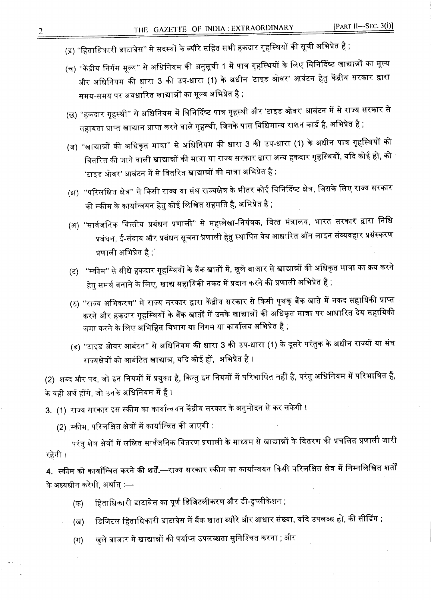- (ड़) ''हिताधिकारी डाटाबेस'' से सदस्यों के ब्यौरे सहित सभी हकदार गृहस्थियों की सूची अभिप्रेत है ;
- (च) ''केंद्रीय निर्गम मूल्य'' से अधिनियम की अनुसूची 1 में पात्र गृहस्थियों के लिए विनिर्दिष्ट खाद्यान्नों का मूल्य और अधिनियम की धारा 3 की उप-धारा (1) के अधीन 'टाइड ओवर' आबंटन हेतु केंद्रीय सरकार द्वारा समय-समय पर अवधारित खाद्यान्नों का मूल्य अभिप्रेत है ;
- (छ) ''हकदार गृहस्थी'' से अधिनियम में विनिर्दिष्ट पात्र गृहस्थी और 'टाइड ओवर' आबंटन में से राज्य सरकार से सहायता प्राप्त खाद्यान प्राप्त करने वाले गृहस्थी, जिनके पास विधिमान्य राशन कार्ड है, अभिप्रेत है ;
- (ज) ''खाद्यान्नों की अधिकृत मात्रा'' से अधिनियम की धारा 3 की उप-धारा (1) के अधीन पात्र गृहस्थियों को वितरित की जाने वाली खाद्यान्नों की मात्रा या राज्य सरकार द्वारा अन्य हकदार गृहस्थियों, यदि कोई हो, को 'टाइड ओवर' आबंटन में से वितरित खाद्यान्नों की मात्रा अभिप्रेत है ;
- (झ) ''परिलक्षित क्षेत्र'' से किसी राज्य या संघ राज्यक्षेत्र के भीतर कोई विनिर्दिष्ट क्षेत्र, जिसके लिए राज्य सरकार की स्कीम के कार्यान्वयन हेतु कोई लिखित सहमति है, अभिप्रेत है ;
- (अ) ''सार्वजनिक वित्तीय प्रबंधन प्रणाली'' से महालेखा-नियंत्रक, वित्त मंत्रालय, भारत सरकार द्वारा निधि प्रबंधन, ई-संदाय और प्रबंधन सूचना प्रणाली हेतु स्थापित वेब आधारित ऑन लाइन संव्यवहार प्रसंस्करण प्रणाली अभिप्रेत है $\ ;$
- (ट) "स्कीम" से सीधे हकदार गृहस्थियों के बैंक खातों में, खुले बाजार से खाद्यान्नों की अधिकृत मात्रा का क्रय करने हेतु समर्थ बनाने के लिए, खाद्य सहायिकी नकद में प्रदान करने की प्रणाली अभिप्रेत है ;
- (ठ) ''राज्य अभिकरण'' से राज्य सरकार द्वारा केंद्रीय सरकार से किसी पृथक् बैंक खाते में नकद सहायिकी प्राप्त करने और हकदार गृहस्थियों के बैंक खातों में उनके <mark>खाद्या</mark>न्नों की अधिकृत मात्रा पर आधारित देय सहायिकी जमा करने के लिए अभिहित विभाग या निगम या कार्यालय अभिप्रेत है ;
- (ड) ''टाइड ओवर आबंटन'' से अधिनियम की धारा 3 की उप-धारा (1) के दूसरे परंतुक के अधीन राज्यों या संघ राज्यक्षेत्रों को आबंटित खाद्यान्न, यदि कोई हों, अभिप्रेत है ।

(2) शब्द और पद, जो इन नियमों में प्रयुक्त है, किन्तु इन नियमों में परिभाषित नहीं है, परंतु अधिनियम में परिभाषित हैं, के वही अर्थ होंगे, जो उनके अधिनियम में हैं ।

3. (1) राज्य सरकार इस स्कीम का कार्यान्वयन केंद्रीय सरकार के अनुमोदन से कर सकेगी ।

(2) स्कीम, परिलक्षित क्षेत्रों में कार्यान्वित की जाएगी :

परंतु शेष क्षेत्रों में लक्षित सार्वजनिक वितरण प्रणाली के माध्यम से खाद्यान्नों के वितरण की प्रचलित प्रणाली जारी रहेगी ।

4. स्कीम को कार्यान्वित करने की शर्तें.---राज्य सरकार स्कीम का कार्यान्वयन किसी परिलक्षित क्षेत्र में निम्नलिखित शर्तों *~ 31't"4"m ~, ~ :-*

- (क) हिताधिकारी डाटाबेस का पूर्ण डिजिटलीकरण और डी-डुप्लीकेशन ;
- (ख) डिजिटल हिताधिकारी डाटाबेस में बैंक खाता ब्यौरे और आधार संख्या, यदि उपलब्ध हो, की सीडिंग ;
- (ग) खुले वाजार में खाद्यान्नों की पर्याप्त उपलब्धता सुनिश्चित करना ; और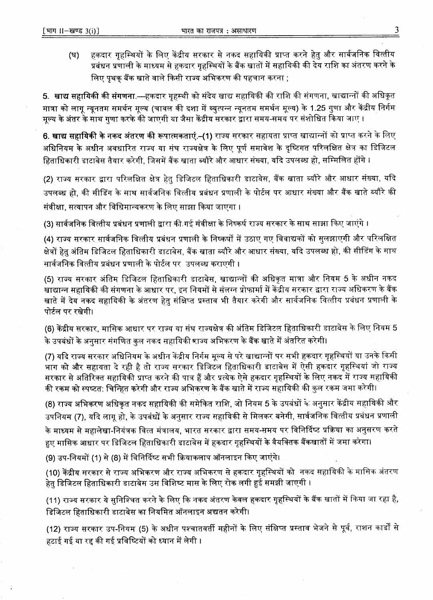(घ) हकदार गृहस्थियों के लिए केंद्रीय सरकार से नकद सहायिकी प्राप्त करने हेत् और सार्वजनिक वित्तीय प्रबंधन प्रणाली के माध्यम से हकदार गृहस्थियों के बैंक खातों में सहायिकी की देय राशि का अंतरण करने के लिए पृथक बैंक खाते वाले किसी राज्य अभिकरण की पहचान करना ;

5. खाद्य सहायिकी की संगणना.—हकदार गृहस्थी को संदेय खाद्य सहायिकी की राशि की संगणना, खाद्यान्नों की अधिकृत मात्रा को लागू न्यूनतम समर्थन मूल्य (चावल की दशा में व्युत्पन्न न्यूनतम समर्थन मूल्य) के 1.25 गुणा और केंद्रीय निर्गम मूल्य के अंतर के साथ गणा करके की जाएगी या जैसा केंद्रीय सरकार द्वारा समय-समय पर संशोधित किया जाए ।

6. खाद्य सहायिकी के नकद अंतरण की रूपात्मकताएं.–(1) राज्य सरकार सहायता प्राप्त खाद्यान्नों को प्राप्त करने के लिए अधिनियम के अधीन अवधारित राज्य या संघ राज्यक्षेत्र के लिए पूर्ण समावेश के दृष्टिगत परिलक्षित क्षेत्र का डिजिटल हिताधिकारी डाटाबेस तैयार करेगी, जिसमें बैंक खाता ब्यौरे और आधार संख्या, यदि उपलब्ध हो, सम्मिलित होंगे ।

(2) राज्य सरकार द्वारा परिलक्षित क्षेत्र हेतु डिजिटल हिताधिकारी डाटाबेस, बैंक खाता ब्यौरे और आधार संख्या, यदि उपलब्ध हो, की सीडिंग के साथ सार्वजनिक वित्तीय प्रबंधन प्रणाली के पोर्टल पर आधार संख्या और बैंक खाते ब्यौरे की संवीक्षा, सत्यापन और विधिमान्यकरण के लिए साझा किया जाएगा ।

(3) सार्वजनिक वित्तीय प्रबंधन प्रणाली द्वारा की गई संवीक्षा के निष्कर्ष राज्य सरकार के साथ साझा किए जाएंगे ।

(4) राज्य सरकार सार्वजनिक वित्तीय प्रबंधन प्रणाली के निष्कर्षों में उठाए गए विवाद्यकों को सुलझाएगी और परिलक्षित क्षेत्रों हेत अंतिम डिजिटल हिताधिकारी डाटाबेस, बैंक खाता ब्यौरे और आधार संख्या, यदि उपलब्ध हो, की सीडिंग के साथ <u>सार्वजनिक वित्तीय प्रबंधन प्रणाली के पोर्टल पर उपलब्ध कराएगी ।</u>

(5) राज्य सरकार अंतिम डिजिटल हिताधिकारी डाटाबेस, खाद्यान्नों की अधिकृत मात्रा और नियम 5 के अधीन नकद खाद्यान्न सहायिकी की संगणना के आधार पर, इन नियमों से संलग्न प्रोफार्मा में केंद्रीय सरकार द्वारा राज्य अधिकरण के बैंक खाते में देय नकद सहायिकी के अंतरण हेतु संक्षिप्त प्रस्ताव भी तैयार करेगी और सार्वजनिक वित्तीय प्रबंधन प्रणाली के पोर्टल पर रखेगी।

(6) केंद्रीय सरकार, मासिक आधार पर राज्य या संघ राज्यक्षेत्र की अंतिम डिजिटल हिताधिकारी डाटाबेस के लिए नियम 5 के उपबंधों के अनुसार संगणित कुल नकद सहायिकी श्राज्य अभिकरण के बैंक खाते में अंतरित करेगी।

(7) यदि राज्य सरकार अधिनियम के अधीन केंद्रीय निर्गम मूल्य से परे खाद्यान्नों पर सभी हकदार गृहस्थियों या उनके किसी भाग को और सहायता दे रही है तो राज्य सरकार डिजिटल हिताधिकारी डाटाबेस में ऐसी हकदार गृहस्थियां जो राज्य सरकार से अतिरिक्त सहायिकी प्राप्त करने की पात्र हैं और प्रत्येक ऐसे हकदार गृहस्थियों के लिए नकद में राज्य सहायिकी की रकम को स्पष्टत: चिन्हित करेगी और राज्य अभिकरण के वैंक खाते में राज्य सहायिकी की कुल रकम जमा करेगी।

(8) राज्य अभिकरण अधिकृत नकद सहायिकी की समेकित राशि, जो नियम 5 के उपबंधों के अनुसार केंद्रीय सहायिकी और उपनियम (7), यदि लागू हो, के उपबंधों के अनुसार राज्य सहायिकी से मिलकर बनेगी, सार्वजनिक वित्तीय प्रबंधन प्रणाली के माध्यम से महालेखा-नियंत्रक वित्त मंत्रालय, भारत सरकार द्वारा समय-समय पर विनिर्दिष्ट प्रक्रिया का अनुसरण करते हुए मासिक आधार पर डिजिटल हिताधिकारी डाटाबेस में हकदार गृहस्थियों के वैयक्तिक बैंकखातों में जमा करेगा।

(9) उप-नियमों (1) से (8) में विनिर्दिष्ट सभी क्रियाकलाप ऑनलाइन किए जाएंगे।

(10) केंद्रीय सरकार से राज्य अभिकरण और राज्य अभिकरण से हकदार गृहस्थियों को नकद सहायिकी के मासिक अंतरण हेतु डिजिटल हिताधिकारी डाटाबेस उस विशिष्ट मास के लिए रोक लगी हुई समझी जाएगी ।

(11) राज्य सरकार ये सुनिश्चित करने के लिए कि नकद अंतरण केवल हकदार गृहस्थियों के बैंक खातों में किया जा रहा है, डिजिटल हिताधिकारी डाटाबेस का नियमित ऑनलाइन अद्यतन करेगी।

(12) राज्य सरकार उप-नियम (5) के अधीन पश्चातवर्ती महीनों के लिए संक्षिप्त प्रस्ताव भेजने से पूर्व, राशन कार्डों से हटाई गई या रद्द की गई प्रविष्टियों को ध्यान में लेगी ।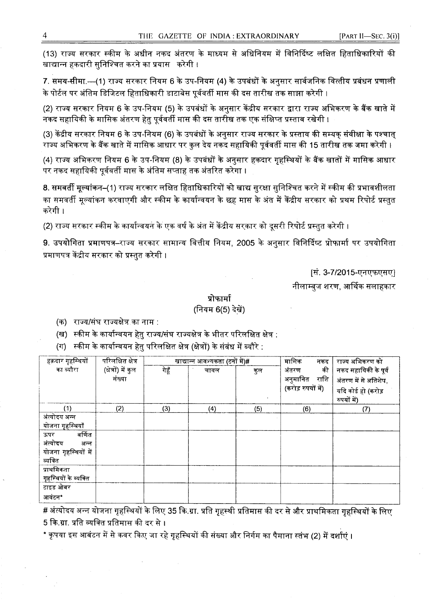(13) राज्य सरकार स्कीम के अधीन नकद अंतरण के माध्यम से अधिनियम में विनिर्दिष्ट लक्षित हिताधिकारियों की खाद्यान्न हकदारी सुनिश्चित करने का प्रयास $\varepsilon$  करेगी ।

7. समय-सीमा.—(1) राज्य सरकार नियम 6 के उप-नियम (4) के उपबंधों के अनुसार सार्वजनिक वित्तीय प्रबंधन प्रणाली के पोर्टल पर अंतिम डिजिटल हिताधिकारी डाटाबेस पूर्ववर्ती मास की दस तारीख तक साझा करेगी ।

(2) राज्य सरकार नियम 6 के उप-नियम (5) के उपबंधों के अनुसार केंद्रीय सरकार द्वारा राज्य अभिकरण के बैंक खाते में नकद सहायिकी के मासिक अंतरण हेतु पूर्ववर्ती मास की दस तारीख तक एक संक्षिप्त प्रस्ताव रखेगी ।

(3) केंद्रीय सरकार नियम 6 के उप-नियम (6) के उपबंधों के अनुसार राज्य सरकार के प्रस्ताव की सम्यक् संवीक्षा के पश्चात् <u>राज्य अभिकरण के बैंक खाते में मासिक आधार पर कुल देय नकद सहायिकी पूर्ववर्ती मास की 15 तारीख तक जमा करेगी ।</u>

(4) राज्य अभिकरण नियम 6 के उप-नियम (8) के उपबंधों के अनुसार हकदार गृहस्थियों के बैंक खातों में मासिक आधार पर नकद सहायिकी पूर्ववर्ती मास के अंतिम सप्ताह तक अंतरित करेगा ।

8. समवर्ती मूल्यांकन–(1) राज्य सरकार लक्षित हिताधिकारियों को खाद्य सुरक्षा सुनिश्चित करने में स्कीम की प्रभावशीलता का समवर्ती मूल्यांकन करवाएगी और स्कीम के कार्यान्वयन के छह मास के अंत में केंद्रीय सरकार को प्रथम रिपोर्ट प्रस्तुत करेगी ।

(2) राज्य सरकार स्कीम के कार्यान्वयन के एक वर्ष के अंत में केंद्रीय सरकार को दूसरी रिपोर्ट प्रस्तुत करेगी ।

9. उपयोगिता प्रमाणपत्र–राज्य सरकार सामान्य वित्तीय नियम, 2005 के अनुसार विनिर्दिष्ट प्रोफार्मा पर उपयोगिता प्रमाणपत्र केंद्रीय सरकार को प्रस्तुत करेगी ।

[सं. 3-7/2015-एनएफएसए]

नीलाम्बुज शरण, आर्थिक सलाहकार

## प्रोफार्मा

## (नियम 6(5) देखें)

(क) राज्य/संघ राज्यक्षेत्र का नाम :

(ख) स्कीम के कार्यान्वयन हेतु राज्य/संघ राज्यक्षेत्र के भीतर परिलक्षित क्षेत्र :

(ग) स्कीम के कार्यान्वयन हेतु परिलक्षित क्षेत्र (क्षेत्रों) के संबंध में ब्यौरे :

| हक़दार गृहस्थियों     | परिलक्षित क्षेत्र   |       | खाद्यान्न आवश्यकता (टनों में)# |     | मासिक<br>नकद       | राज्य अभिकरण को      |
|-----------------------|---------------------|-------|--------------------------------|-----|--------------------|----------------------|
| का व्यौरा             | (क्षेत्रों) में कुल | गेहूँ | चावल                           | कुल | की<br>अंतरण        | नकद सहायिकी के पूर्व |
|                       | संख्या              |       |                                |     | अनुमानित राशि      | अंतरण में से अतिशेष, |
|                       |                     |       |                                |     | (करोड़ रुपयों में) | यदि कोई हो (करोड़    |
|                       |                     |       |                                |     |                    | रुपयों में)          |
| (1)                   | (2)                 | (3)   | (4)                            | (5) | (6)                | (7)                  |
| अंत्योदय अन्न         |                     |       |                                |     |                    |                      |
| योजना गृहस्थियाँ      |                     |       |                                |     |                    |                      |
| वर्णित<br>ऊपर         |                     |       |                                |     |                    |                      |
| अंत्योदय<br>अन्न      |                     |       |                                |     |                    |                      |
| योजना गृहस्थियों में  |                     |       |                                |     |                    |                      |
| व्यक्ति               |                     |       |                                |     |                    |                      |
| प्राथमिकता            |                     |       |                                |     |                    |                      |
| गृहस्थियों के व्यक्ति |                     |       |                                |     |                    |                      |
| टाइड ओवर              |                     |       |                                |     |                    |                      |
| आवंटन*                |                     |       |                                |     |                    |                      |

# अंत्योदय अन्न योजना गृहस्थियों के लिए 35 कि.ग्रा. प्रति गृहस्थी प्रतिमास की दर से और प्राथमिकता गृहस्थियों के लिए 5 कि.ग्रा. प्रति व्यक्ति प्रतिमास की दर से ।

\* कृपया इस आबंटन में से कवर किए जा रहे गृहस्थियों की संख्या और निर्गम का पैमाना स्तंभ (2) में दर्शाएं ।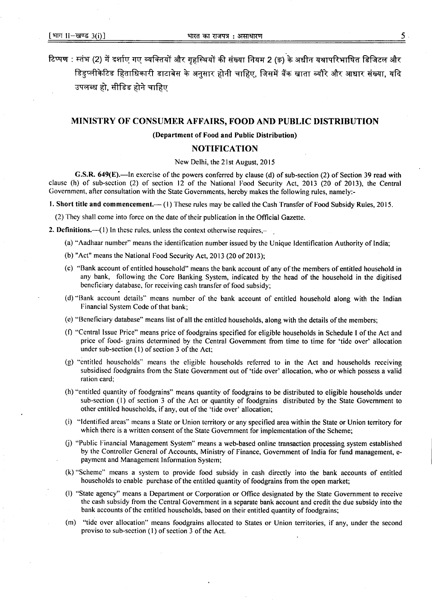टिप्पण : स्तंभ (2) में दर्शाए गए व्यक्तियों और गृहस्थियों की संख्या नियम 2 (ङ) के अधीन यथापरिभाषित डिजिटल और डिइप्लीकेटिड हिताधिकारी डाटाबेस के अनुसार होनी चाहिए, जिसमें बैंक खाता ब्यौरे और आधार संख्या, यदि उपलब्ध हो. सीडिड होने चाहिए

### MINISTRY OF CONSUMER AFFAIRS, FOOD AND PUBLIC DISTRIBUTION

#### (Department of Food and Public Distribution)

## NOTIFICATION

New Delhi, the 21st August, 2015

G.S.R. 649(E).—In exercise of the powers conferred by clause (d) of sub-section (2) of Section 39 read with clause (h) of sub-section (2) of section 12 of the National Food Security Act, 2013 (20 of 2013), the Central Government, after consultation with the State Governments, hereby makesthe following rules, namely:-

1. Short title and commencement.— (1) These rules may be called the Cash Transfer of Food Subsidy Rules, 2015.

(2) They shall come into force on the date of their publication in the Official Gazette.

- 2. Definitions.— $(1)$  In these rules, unless the context otherwise requires,—
	- (a) "Aadhaar number" means the identification number issued by the Unique Identification Authority of India;
	- (b) "Act" means the National Food Security Act,  $2013$  (20 of 2013);
	- (c) "Bank account of entitled household" means the bank account of any of the members of entitled household in any bank, following the Core Banking System, indicated by the head of the household in the digitised beneficiary database, for receiving cash transfer of food subsidy;
	- (d) "Bank account details" means number of the bank account of entitled household along with the Indian Financial System Code of that bank;
	- (e) "Beneficiary database" means list of all the entitled households, along with the details of the members;
	- (I) "Central Issue Price" means price of foodgrains specified for eligible households in Schedule I of the Act and price of food- grains determined by the Central Government from time to time for 'tide over' allocation under sub-section (I) of section 3 of the Act:
	- (g) "entitled households" means the eligible households referred to in the Act and households receiving subsidised foodgrains from the State Government out of 'tide over' allocation, who or which possess a valid ration card;
	- (h) "entitled quantity of foodgrains" means quantity of foodgrains to be distributed to eligible households under sub-section (I) of section 3 of the Act or quantity of foodgrains distributed by the State Government to other entitled households, if any, out of the 'tide over' allocation;
	- (i) "Identified areas" means a State or Union territory or any specified area within the State or Union territory for which there is a written consent of the State Government for implementation of the Scheme;
	- (j) "Public Financial Management System" means a web-based online transaction processing system established by the Controller General of Accounts, Ministry of Finance, Government of India for fund management, epayment and Management Information System;
	- (k) "Scheme" means a system to provide food subsidy in cash directly into the bank accounts of entitled households to enable purchase of the entitled quantity of foodgrains from the open market;
	- (I) "State agency" means a Department or Corporation or Office designated by the State Government to receive the cash subsidy from the Central Government in a separate bank account and credit the due subsidy into the bank accounts of the entitled households, based on their entitled quantity of foodgrains;
	- (m) "tide over allocation" means foodgrains allocated to States or Union territories, if any, under the second proviso to sub-section (I) of section 3 of the Act.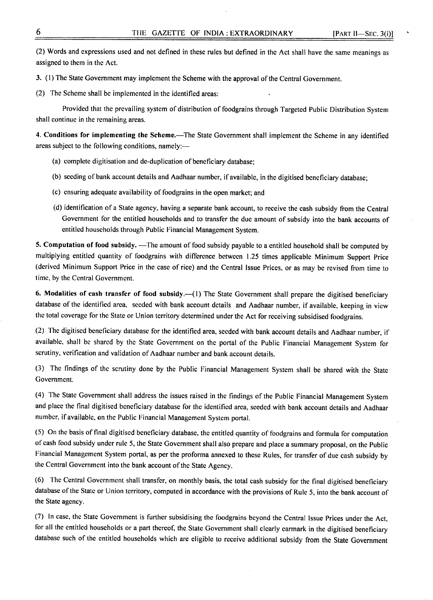(2) Words and expressions used and not defined in these rules but defined in the Act shall have the same meanings as assigned to them in the Act.

3. (I) The State Government may implement the Scheme with the approval of the Central Government.

(2) The Scheme shall be implemented in the identified areas:

Provided that the prevailing system of distribution of foodgrains through Targeted Public Distribution System shall continue in the remaining areas.

4. Conditions for implementing the Scheme.—The State Government shall implement the Scheme in any identified areas subject to the following conditions, namely:--

- (a) complete digitisation and de-duplication of beneficiary database;
- (b) seeding of bank account details and Aadhaar number, if available, in the digitised beneficiary database;
- (c) ensuring adequate availability of foodgrains in the open market; and
- (d) identification of a State agency, having a separate bank account, to receive the cash subsidy from the Central Government for the entitled households and to transfer the due amount of subsidy into the bank accounts of entitled households through Public Financial Management System.

5. Computation of food subsidy. - The amount of food subsidy payable to a entitled household shall be computed by multiplying entitled quantity of foodgrains with difference between 1.25 times applicable Minimum Support Price (derived Minimum Support Price in the case of rice) and the Central Issue Prices, or as may be revised from time to time, by the Central Government.

6. Modalities of cash transfer of food subsidy.-(1) The State Government shall prepare the digitised beneficiary database of the identified area, seeded with bank account details and Aadhaar number, if available, keeping in view the total coverage for the State or Union territory determined under the Act for receiving subsidised foodgrains.

(2) The digitised beneficiary database for the identified area, seeded with bank account details and Aadhaar number, if available, shall be shared by the State Government on the portal of the Public Financial Management System for scrutiny, verification and validation of Aadhaar number and bank account details.

(3) The findings of the scrutiny done by the Public Financial Management System shall be shared with the State Government.

(4) The State Government shall address the issues raised in the findings of the Public Financial Management System and place the final digitised beneficiary database for the identified area, seeded with bank account details and Aadhaar number, if available, on the Public Financial Management System portal.

(5) On the basis of final digitised beneficiary database, the entitled quantity of foodgrains and formula for computation of cash food subsidy under rule 5, the State Government shall also prepare and place a summary proposal, on the Public Financial Management System portal, as per the proforma annexed to these Rules, for transfer of due cash subsidy by the Central Government into the bank account of the State Agency.

(6) The Central Government shall transfer, on monthly basis, the total cash subsidy for the final digitised beneficiary database of the State or Union territory, computed in accordance with the provisions of Rule 5, into the bank account of the State agency.

(7) In case, the State Government is further subsidising the foodgrains beyond the Central Issue Prices under the Act, for all the entitled households or a part thereof, the State Government shall clearly earmark in the digitised beneficiary database such of the entitled households which are eligible to receive additional subsidy from the State Government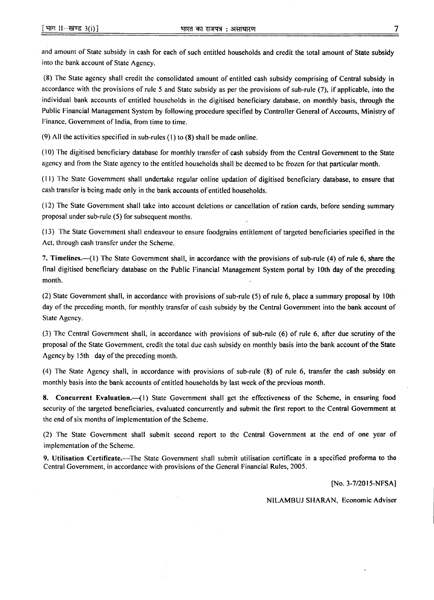and amount of State subsidy in cash for each of such entitled households and credit the total amount of State subsidy into the bank account of State Agency.

(8) The State agency shall credit the consolidated amount of entitled cash subsidy comprising of Central subsidy in accordance with the provisions of rule 5 and State subsidy as per the provisions of sub-rule (7), if applicable, into the individual bank accounts of entitled households in the digitised beneficiary database, on monthly basis, through the Public Financial Management System by following procedure specified by Controller General of Accounts, Ministry of Finance, Government of India, from time to time.

(9) All the activities specified in sub-rules (I) to (8) shall be made online.

( I0) The digitised beneficiary database for monthly transfer of cash subsidy from the Central Government to the State agency and from the State agency to the entitled households shall be deemed to be frozen for that particular month.

(II) The State Government shall undertake regular online updation of digitised beneficiary database, to ensure that cash transfer is being made only in the bank accounts of entitled households.

(12) The State Government shall take into account deletions or cancellation of ration cards, before sending summary proposal under sub-rule (5) for subsequent months.

(13) The State Government shall endeavour to ensure foodgrains entitlement of targeted beneficiaries specified in the Act, through cash transfer under the Scheme.

7. Timelines.— $\left(1\right)$  The State Government shall, in accordance with the provisions of sub-rule (4) of rule 6, share the final digitised beneficiary database on the Public Financial Management System portal by 10th day of the preceding month.

(2) State Government shall, in accordance with provisions of sub-rule (5) of rule 6, place a summary proposal by 10th day of the preceding month, for monthly transfer of cash subsidy by the Central Government into the bank account of State Agency.

(3) The Central Government shall, in accordance with provisions of sub-rule (6) of rule 6, after due scrutiny of the proposal of the State Government, credit the total due cash subsidy on monthly basis into the bank account of the State Agency by 15th day of the preceding month.

(4) The State Agency shall, in accordance with provisions of sub-rule (8) of rule 6, transfer the cash subsidy on monthly basis into the bank accounts of entitled households by last week of the previous month.

8. Concurrent Evaluation.—(1) State Government shall get the effectiveness of the Scheme, in ensuring food security of the targeted beneficiaries, evaluated concurrently and submit the first report to the Central Government at the end of six months of implementation of the Scheme.

(2) The State Government shall submit second report to the Central Government at the end of one year of implementation of the Scheme.

9. Utilisation Certificate.—The State Government shall submit utilisation certificate in a specified proforma to the Central Government, in accordance with provisions of the General Financial Rules, 2005.

*[No.3-7/2015-NFSA]*

NILAMBUJ SHARAN, Economic Adviser